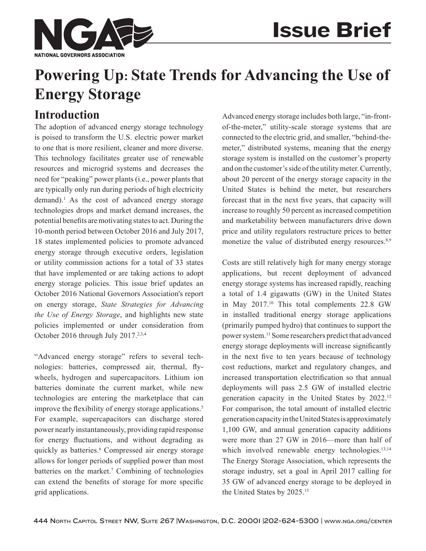

# **Powering Up: State Trends for Advancing the Use of Energy Storage**

# **Introduction**

The adoption of advanced energy storage technology is poised to transform the U.S. electric power market to one that is more resilient, cleaner and more diverse. This technology facilitates greater use of renewable resources and microgrid systems and decreases the need for "peaking" power plants (i.e., power plants that are typically only run during periods of high electricity demand).<sup>1</sup> As the cost of advanced energy storage technologies drops and market demand increases, the potential benefits are motivating states to act. During the 10-month period between October 2016 and July 2017, 18 states implemented policies to promote advanced energy storage through executive orders, legislation or utility commission actions for a total of 33 states that have implemented or are taking actions to adopt energy storage policies. This issue brief updates an October 2016 National Governors Association's report on energy storage, *State Strategies for Advancing the Use of Energy Storage*, and highlights new state policies implemented or under consideration from October 2016 through July 2017.<sup>2,3,4</sup>

"Advanced energy storage" refers to several technologies: batteries, compressed air, thermal, flywheels, hydrogen and supercapacitors. Lithium ion batteries dominate the current market, while new technologies are entering the marketplace that can improve the flexibility of energy storage applications.<sup>5</sup> For example, supercapacitors can discharge stored power nearly instantaneously, providing rapid response for energy fluctuations, and without degrading as quickly as batteries.<sup>6</sup> Compressed air energy storage allows for longer periods of supplied power than most batteries on the market.<sup>7</sup> Combining of technologies can extend the benefits of storage for more specific grid applications.

Advanced energy storage includes both large, "in-frontof-the-meter," utility-scale storage systems that are connected to the electric grid, and smaller, "behind-themeter," distributed systems, meaning that the energy storage system is installed on the customer's property and on the customer's side of the utility meter. Currently, about 20 percent of the energy storage capacity in the United States is behind the meter, but researchers forecast that in the next five years, that capacity will increase to roughly 50 percent as increased competition and marketability between manufacturers drive down price and utility regulators restructure prices to better monetize the value of distributed energy resources.<sup>8,9</sup>

Costs are still relatively high for many energy storage applications, but recent deployment of advanced energy storage systems has increased rapidly, reaching a total of 1.4 gigawatts (GW) in the United States in May 2017.10 This total complements 22.8 GW in installed traditional energy storage applications (primarily pumped hydro) that continues to support the power system.11 Some researchers predict that advanced energy storage deployments will increase significantly in the next five to ten years because of technology cost reductions, market and regulatory changes, and increased transportation electrification so that annual deployments will pass 2.5 GW of installed electric generation capacity in the United States by 2022.12 For comparison, the total amount of installed electric generation capacity in the United States is approximately 1,100 GW, and annual generation capacity additions were more than 27 GW in 2016—more than half of which involved renewable energy technologies.<sup>13,14</sup> The Energy Storage Association, which represents the storage industry, set a goal in April 2017 calling for 35 GW of advanced energy storage to be deployed in the United States by 2025.15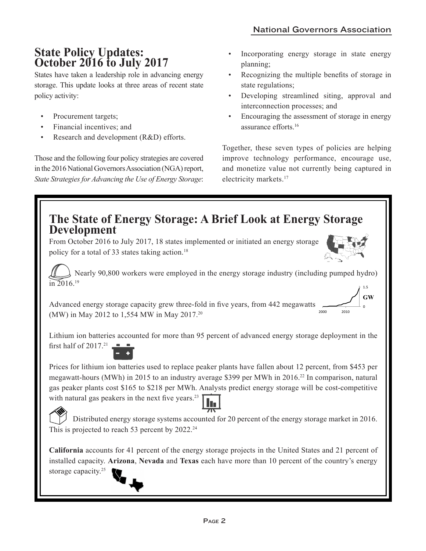## **State Policy Updates: October 2016 to July 2017**

States have taken a leadership role in advancing energy storage. This update looks at three areas of recent state policy activity:

- Procurement targets;
- Financial incentives; and
- Research and development (R&D) efforts.

Those and the following four policy strategies are covered in the 2016 National Governors Association (NGA) report, *State Strategies for Advancing the Use of Energy Storage*:

- Incorporating energy storage in state energy planning;
- Recognizing the multiple benefits of storage in state regulations;
- Developing streamlined siting, approval and interconnection processes; and
- Encouraging the assessment of storage in energy assurance efforts.16

Together, these seven types of policies are helping improve technology performance, encourage use, and monetize value not currently being captured in electricity markets.<sup>17</sup>

0

**GW**

2000 2010

### **The State of Energy Storage: A Brief Look at Energy Storage Development**

From October 2016 to July 2017, 18 states implemented or initiated an energy storage policy for a total of 33 states taking action.<sup>18</sup>

 Nearly 90,800 workers were employed in the energy storage industry (including pumped hydro)  $\sum_{10}$  2016.<sup>19</sup> 1.5

Advanced energy storage capacity grew three-fold in five years, from 442 megawatts (MW) in May 2012 to 1,554 MW in May 2017.20

Lithium ion batteries accounted for more than 95 percent of advanced energy storage deployment in the first half of 2017.<sup>21</sup>

Prices for lithium ion batteries used to replace peaker plants have fallen about 12 percent, from \$453 per megawatt-hours (MWh) in 2015 to an industry average \$399 per MWh in 2016.22 In comparison, natural gas peaker plants cost \$165 to \$218 per MWh. Analysts predict energy storage will be cost-competitive with natural gas peakers in the next five years.<sup>23</sup>

 Distributed energy storage systems accounted for 20 percent of the energy storage market in 2016. This is projected to reach 53 percent by  $2022.^{24}$ 

**California** accounts for 41 percent of the energy storage projects in the United States and 21 percent of installed capacity. **Arizona**, **Nevada** and **Texas** each have more than 10 percent of the country's energy storage capacity.<sup>25</sup>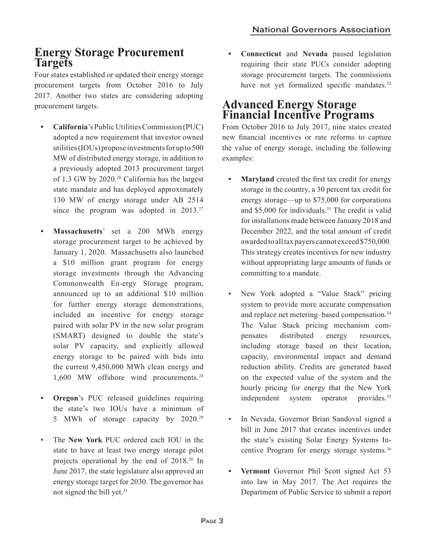### **Energy Storage Procurement Targets**

Four states established or updated their energy storage procurement targets from October 2016 to July 2017. Another two states are considering adopting procurement targets.

- **• California**'s Public Utilities Commission (PUC) adopted a new requirement that investor owned utilities (IOUs) propose investments for up to 500 MW of distributed energy storage, in addition to a previously adopted 2013 procurement target of 1.3 GW by 2020.<sup>26</sup> California has the largest state mandate and has deployed approximately 130 MW of energy storage under AB 2514 since the program was adopted in 2013.<sup>27</sup>
- **• Massachusetts**' set a 200 MWh energy storage procurement target to be achieved by January 1, 2020. Massachusetts also launched a \$10 million grant program for energy storage investments through the Advancing Commonwealth En-ergy Storage program, announced up to an additional \$10 million for further energy storage demonstrations, included an incentive for energy storage paired with solar PV in the new solar program (SMART) designed to double the state's solar PV capacity, and explicitly allowed energy storage to be paired with bids into the current 9,450,000 MWh clean energy and 1,600 MW offshore wind procurements.<sup>28</sup>
- **• Oregon**'s PUC released guidelines requiring the state's two IOUs have a minimum of 5 MWh of storage capacity by 2020.29
- The **New York** PUC ordered each IOU in the state to have at least two energy storage pilot projects operational by the end of 2018.30 In June 2017, the state legislature also approved an energy storage target for 2030. The governor has not signed the bill yet.<sup>31</sup>

**• Connecticut** and **Nevada** passed legislation requiring their state PUCs consider adopting storage procurement targets. The commissions have not yet formalized specific mandates.<sup>32</sup>

### **Advanced Energy Storage Financial Incentive Programs**

From October 2016 to July 2017, nine states created new financial incentives or rate reforms to capture the value of energy storage, including the following examples:

- **• Maryland** created the first tax credit for energy storage in the country, a 30 percent tax credit for energy storage—up to \$75,000 for corporations and \$5,000 for individuals.<sup>33</sup> The credit is valid for installations made between January 2018 and December 2022, and the total amount of credit awarded to all tax payers cannot exceed \$750,000. This strategy creates incentives for new industry without appropriating large amounts of funds or committing to a mandate.
- New York adopted a "Value Stack" pricing system to provide more accurate compensation and replace net metering–based compensation.<sup>34</sup> The Value Stack pricing mechanism compensates distributed energy resources, including storage based on their location, capacity, environmental impact and demand reduction ability. Credits are generated based on the expected value of the system and the hourly pricing for energy that the New York independent system operator provides.<sup>35</sup>
- In Nevada, Governor Brian Sandoval signed a bill in June 2017 that creates incentives under the state's existing Solar Energy Systems Incentive Program for energy storage systems.36
- **• Vermont** Governor Phil Scott signed Act 53 into law in May 2017. The Act requires the Department of Public Service to submit a report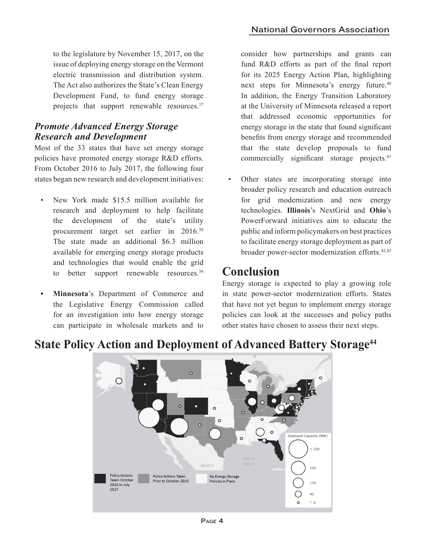to the legislature by November 15, 2017, on the issue of deploying energy storage on the Vermont electric transmission and distribution system. The Act also authorizes the State's Clean Energy Development Fund, to fund energy storage projects that support renewable resources.<sup>37</sup>

#### *Promote Advanced Energy Storage Research and Development*

Most of the 33 states that have set energy storage policies have promoted energy storage R&D efforts. From October 2016 to July 2017, the following four states began new research and development initiatives:

- New York made \$15.5 million available for research and deployment to help facilitate the development of the state's utility procurement target set earlier in 2016.38 The state made an additional \$6.3 million available for emerging energy storage products and technologies that would enable the grid to better support renewable resources.<sup>39</sup>
- **• Minnesota**'s Department of Commerce and the Legislative Energy Commission called for an investigation into how energy storage can participate in wholesale markets and to

consider how partnerships and grants can fund R&D efforts as part of the final report for its 2025 Energy Action Plan, highlighting next steps for Minnesota's energy future.<sup>40</sup> In addition, the Energy Transition Laboratory at the University of Minnesota released a report that addressed economic opportunities for energy storage in the state that found significant benefits from energy storage and recommended that the state develop proposals to fund commercially significant storage projects.<sup>41</sup>

Other states are incorporating storage into broader policy research and education outreach for grid modernization and new energy technologies. **Illinois**'s NextGrid and **Ohio**'s PowerForward initiatives aim to educate the public and inform policymakers on best practices to facilitate energy storage deployment as part of broader power-sector modernization efforts.<sup>42,43</sup>

## **Conclusion**

Energy storage is expected to play a growing role in state power-sector modernization efforts. States that have not yet begun to implement energy storage policies can look at the successes and policy paths other states have chosen to assess their next steps.



### **State Policy Action and Deployment of Advanced Battery Storage44**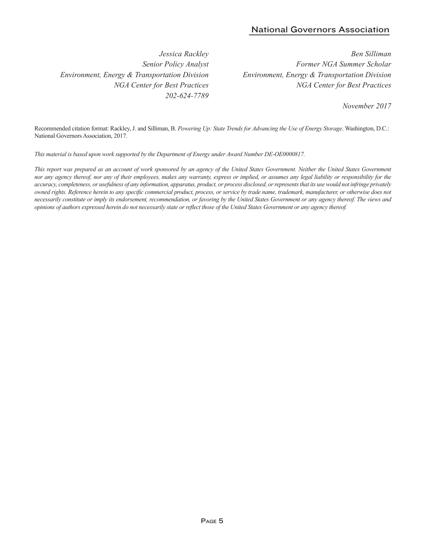#### National Governors Association

*Jessica Rackley Senior Policy Analyst Environment, Energy & Transportation Division NGA Center for Best Practices 202-624-7789*

*Ben Silliman Former NGA Summer Scholar Environment, Energy & Transportation Division NGA Center for Best Practices*

*November 2017*

Recommended citation format: Rackley, J. and Silliman, B. *Powering Up: State Trends for Advancing the Use of Energy Storage*. Washington, D.C.: National Governors Association, 2017.

*This material is based upon work supported by the Department of Energy under Award Number DE-OE0000817.*

This report was prepared as an account of work sponsored by an agency of the United States Government. Neither the United States Government *nor any agency thereof, nor any of their employees, makes any warranty, express or implied, or assumes any legal liability or responsibility for the accuracy, completeness, or usefulness of any information, apparatus, product, or process disclosed, or represents that its use would not infringe privately owned rights. Reference herein to any specific commercial product, process, or service by trade name, trademark, manufacturer, or otherwise does not necessarily constitute or imply its endorsement, recommendation, or favoring by the United States Government or any agency thereof. The views and opinions of authors expressed herein do not necessarily state or reflect those of the United States Government or any agency thereof.*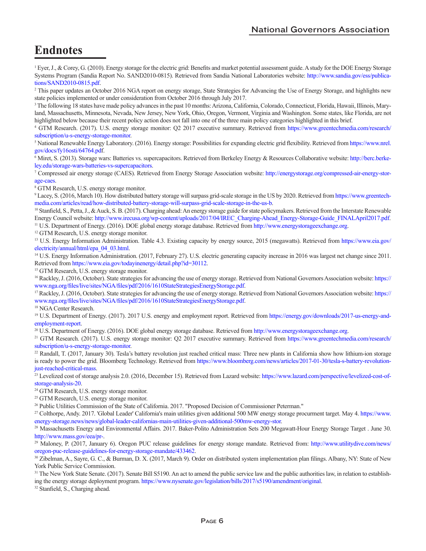# **Endnotes**

<sup>1</sup> Eyer, J., & Corey, G. (2010). Energy storage for the electric grid: Benefits and market potential assessment guide. A study for the DOE Energy Storage [Systems Program \(Sandia Report No. SAND2010-0815\). Retrieved from Sandia National Laboratories website:](http://www.sandia.gov/ess/publications/SAND2010-0815.pdf) http://www.sandia.gov/ess/publications/SAND2010-0815.pdf.

2 This paper updates an October 2016 NGA report on energy storage, State Strategies for Advancing the Use of Energy Storage, and highlights new state policies implemented or under consideration from October 2016 through July 2017.

<sup>3</sup> The following 18 states have made policy advances in the past 10 months: Arizona, California, Colorado, Connecticut, Florida, Hawaii, Illinois, Maryland, Massachusetts, Minnesota, Nevada, New Jersey, New York, Ohio, Oregon, Vermont, Virginia and Washington. Some states, like Florida, are not highlighted below because their recent policy action does not fall into one of the three main policy categories highlighted in this brief.

4  [GTM Research. \(2017\). U.S. energy storage monitor: Q2 2017 executive summary. Retrieved from https://www.greentechmedia.com/research/](https://www.greentechmedia.com/research/subscription/u-s-energy-storage-monitor) subscription/u-s-energy-storage-monitor.

5  [National Renewable Energy Laboratory. \(2016\). Energy storage: Possibilities for expanding electric grid flexibility. Retrieved from](https://www.nrel.gov/docs/fy16osti/64764.pdf) https://www.nrel. gov/docs/fy16osti/64764.pdf.

<sup>6</sup> [Miret, S. \(2013\). Storage wars: Batteries vs. supercapacitors. Retrieved from Berkeley Energy & Resources Collaborative website: http://berc.berke](http://berc.berkeley.edu/storage-wars-batteries-vs-supercapacitors)ley.edu/storage-wars-batteries-vs-supercapacitors.

7  [Compressed air energy storage \(CAES\). Retrieved from Energy Storage Association website: http://energystorage.org/compressed-air-energy-stor](http://energystorage.org/compressed-air-energy-storage-caes)age-caes.

8 GTM Research, U.S. energy storage monitor.

<sup>9</sup> [Lacey, S. \(2016, March 10\). How distributed battery storage will surpass grid-scale storage in the US by 2020. Retrieved from https://www.greentech](https://www.greentechmedia.com/articles/read/how-distributed-battery-storage-will-surpass-grid-scale-storage-in-the-us-b)media.com/articles/read/how-distributed-battery-storage-will-surpass-grid-scale-storage-in-the-us-b.

<sup>10</sup> Stanfield, S., Petta, J., & Auck, S. B. (2017). Charging ahead: An energy storage guide for state policymakers. Retrieved from the Interstate Renewable Energy Council website: http://www.irecusa.org/wp-content/uploads/2017/04/IREC\_Charging-Ahead\_Energy-Storage-Guide\_FINALApril2017.pdf. <sup>11</sup> U.S. Department of Energy. (2016). DOE global energy storage database. Retrieved from http://www.energystorageexchange.org.

<sup>12</sup> GTM Research, U.S. energy storage monitor.

[13 U.S. Energy Information Administration. Table 4.3. Existing capacity by energy source, 2015 \(megawatts\). Retrieved from https://www.eia.gov/](https://www.eia.gov/electricity/annual/html/epa_04_03.html) electricity/annual/html/epa\_04\_03.html.

<sup>14</sup> U.S. Energy Information Administration. (2017, February 27). U.S. electric generating capacity increase in 2016 was largest net change since 2011. Retrieved from https://www.eia.gov/todayinenergy/detail.php?id=30112.

<sup>15</sup> GTM Research, U.S. energy storage monitor.

16 Rackley, J. (2016, October). State strategies for advancing the use of energy storage. Retrieved from National Governors Association website: https:// www.nga.org/files/live/sites/NGA/files/pdf/2016/1610StateStrategiesEnergyStorage.pdf.

17 Rackley, J. (2016, October). State strategies for advancing the use of energy storage. Retrieved from National Governors Association website: https:// www.nga.org/files/live/sites/NGA/files/pdf/2016/1610StateStrategiesEnergyStorage.pdf.

18 NGA Center Research.

<sup>19</sup> U.S. Department of Energy. (2017). 2017 U.S. energy and employment report. Retrieved from https://energy.gov/downloads/2017-us-energy-andemployment-report.

<sup>20</sup> U.S. Department of Energy. (2016). DOE global energy storage database. Retrieved from http://www.energystorageexchange.org.

<sup>21</sup> GTM Research. (2017). U.S. energy storage monitor: Q2 2017 executive summary. Retrieved from https://www.greentechmedia.com/research/ subscription/u-s-energy-storage-monitor.

<sup>22</sup> Randall, T. (2017, January 30). Tesla's battery revolution just reached critical mass: Three new plants in California show how lithium-ion storage is ready to power the grid. Bloomberg Technology. Retrieved from https://www.bloomberg.com/news/articles/2017-01-30/tesla-s-battery-revolutionjust-reached-critical-mass.

<sup>23</sup> Levelized cost of storage analysis 2.0. (2016, December 15). Retrieved from Lazard website: https://www.lazard.com/perspective/levelized-cost-ofstorage-analysis-20.

24 GTM Research, U.S. energy storage monitor.

<sup>25</sup> GTM Research, U.S. energy storage monitor.

<sup>26</sup> Public Utilities Commission of the State of California. 2017. "Proposed Decision of Commissioner Peterman."

<sup>27</sup> Colthorpe, Andy. 2017. 'Global Leader' California's main utilities given additional 500 MW energy storage procurment target. May 4. https://www. energy-storage.news/news/global-leader-californias-main-utilities-given-additional-500mw-energy-stor.

28 Massachusetts Energy and Environmental Affairs. 2017. Baker-Polito Administration Sets 200 Megawatt-Hour Energy Storage Target . June 30. http://www.mass.gov/eea/pr-.

<sup>29</sup> Maloney, P. (2017, January 6). Oregon PUC release guidelines for energy storage mandate. Retrieved from: http://www.utilitydive.com/news/ oregon-puc-release-guidelines-for-energy-storage-mandate/433462.

<sup>30</sup> Zibelman, A., Sayre, G. C., & Burman, D. X. (2017, March 9). Order on distributed system implementation plan filings. Albany, NY: State of New York Public Service Commission.

<sup>31</sup> The New York State Senate. (2017). Senate Bill S5190. An act to amend the public service law and the public authorities law, in relation to establishing the energy storage deployment program. https://www.nysenate.gov/legislation/bills/2017/s5190/amendment/original.

32 Stanfield, S., Charging ahead.